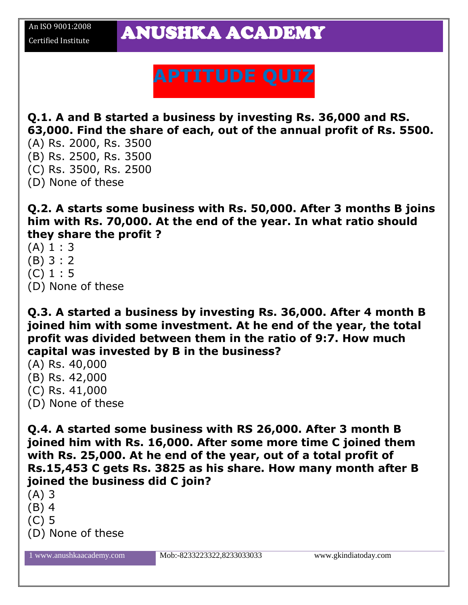## **APTITUDE QUIZ**

**Q.1. A and B started a business by investing Rs. 36,000 and RS. 63,000. Find the share of each, out of the annual profit of Rs. 5500.**

- (A) Rs. 2000, Rs. 3500
- (B) Rs. 2500, Rs. 3500
- (C) Rs. 3500, Rs. 2500
- (D) None of these

**Q.2. A starts some business with Rs. 50,000. After 3 months B joins him with Rs. 70,000. At the end of the year. In what ratio should they share the profit ?**

- $(A) 1 : 3$
- (B) 3 : 2
- (C) 1 : 5
- (D) None of these

**Q.3. A started a business by investing Rs. 36,000. After 4 month B joined him with some investment. At he end of the year, the total profit was divided between them in the ratio of 9:7. How much capital was invested by B in the business?**

- (A) Rs. 40,000
- (B) Rs. 42,000
- (C) Rs. 41,000
- (D) None of these

**Q.4. A started some business with RS 26,000. After 3 month B joined him with Rs. 16,000. After some more time C joined them with Rs. 25,000. At he end of the year, out of a total profit of Rs.15,453 C gets Rs. 3825 as his share. How many month after B joined the business did C join?**

- (A) 3
- (B) 4
- (C) 5
- (D) None of these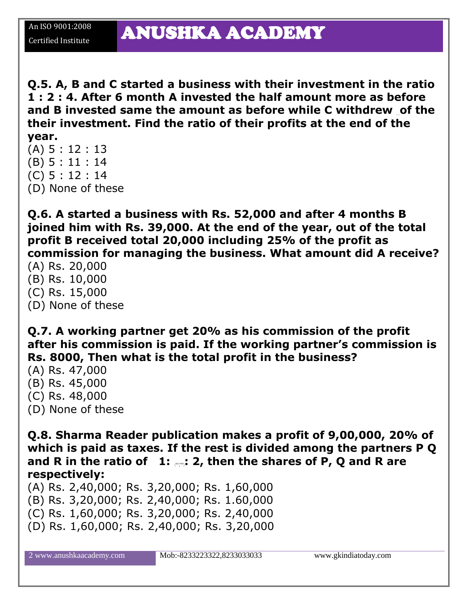**Q.5. A, B and C started a business with their investment in the ratio 1 : 2 : 4. After 6 month A invested the half amount more as before and B invested same the amount as before while C withdrew of the their investment. Find the ratio of their profits at the end of the year.**

- (A) 5 : 12 : 13
- (B) 5 : 11 : 14
- (C) 5 : 12 : 14
- (D) None of these

**Q.6. A started a business with Rs. 52,000 and after 4 months B joined him with Rs. 39,000. At the end of the year, out of the total profit B received total 20,000 including 25% of the profit as commission for managing the business. What amount did A receive?**

- (A) Rs. 20,000
- (B) Rs. 10,000
- (C) Rs. 15,000
- (D) None of these

**Q.7. A working partner get 20% as his commission of the profit after his commission is paid. If the working partner's commission is Rs. 8000, Then what is the total profit in the business?**

- (A) Rs. 47,000
- (B) Rs. 45,000
- (C) Rs. 48,000
- (D) None of these

**Q.8. Sharma Reader publication makes a profit of 9,00,000, 20% of which is paid as taxes. If the rest is divided among the partners P Q and R in the ratio of 1: : 2, then the shares of P, Q and R are respectively:**

(A) Rs. 2,40,000; Rs. 3,20,000; Rs. 1,60,000 (B) Rs. 3,20,000; Rs. 2,40,000; Rs. 1.60,000 (C) Rs. 1,60,000; Rs. 3,20,000; Rs. 2,40,000 (D) Rs. 1,60,000; Rs. 2,40,000; Rs. 3,20,000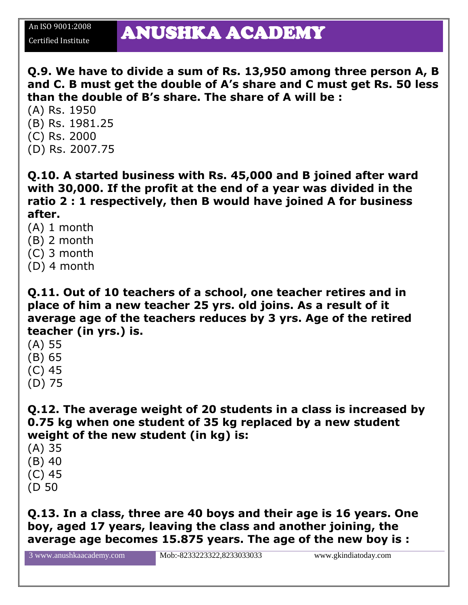**Q.9. We have to divide a sum of Rs. 13,950 among three person A, B and C. B must get the double of A's share and C must get Rs. 50 less than the double of B's share. The share of A will be :**

(A) Rs. 1950 (B) Rs. 1981.25 (C) Rs. 2000 (D) Rs. 2007.75

An ISO 9001:2008

**Q.10. A started business with Rs. 45,000 and B joined after ward**

**with 30,000. If the profit at the end of a year was divided in the ratio 2 : 1 respectively, then B would have joined A for business after.**

- (A) 1 month
- (B) 2 month
- (C) 3 month
- (D) 4 month

**Q.11. Out of 10 teachers of a school, one teacher retires and in place of him a new teacher 25 yrs. old joins. As a result of it average age of the teachers reduces by 3 yrs. Age of the retired teacher (in yrs.) is.**

- (A) 55
- (B) 65
- (C) 45
- (D) 75

**Q.12. The average weight of 20 students in a class is increased by 0.75 kg when one student of 35 kg replaced by a new student weight of the new student (in kg) is:**

- (A) 35
- (B) 40
- (C) 45
- (D 50

**Q.13. In a class, three are 40 boys and their age is 16 years. One boy, aged 17 years, leaving the class and another joining, the average age becomes 15.875 years. The age of the new boy is :**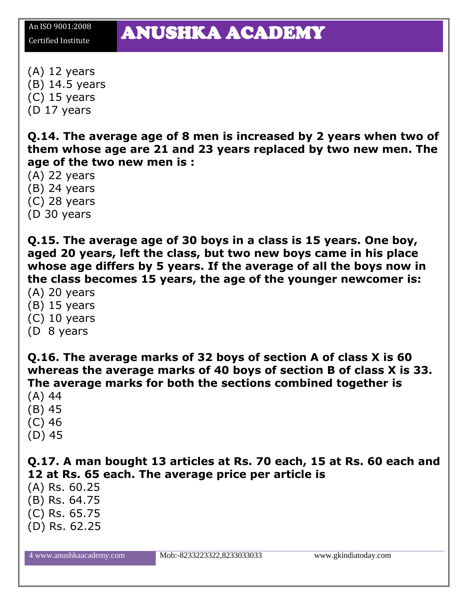## An ISO 9001:2008 **ANUSHKA ACADEMY**

(A) 12 years (B) 14.5 years (C) 15 years (D 17 years

**Q.14. The average age of 8 men is increased by 2 years when two of them whose age are 21 and 23 years replaced by two new men. The age of the two new men is :**

(A) 22 years

(B) 24 years

(C) 28 years

(D 30 years

**Q.15. The average age of 30 boys in a class is 15 years. One boy, aged 20 years, left the class, but two new boys came in his place whose age differs by 5 years. If the average of all the boys now in the class becomes 15 years, the age of the younger newcomer is:**

- (A) 20 years
- (B) 15 years
- (C) 10 years
- (D 8 years

**Q.16. The average marks of 32 boys of section A of class X is 60 whereas the average marks of 40 boys of section B of class X is 33. The average marks for both the sections combined together is**

- (A) 44
- (B) 45
- (C) 46
- (D) 45

**Q.17. A man bought 13 articles at Rs. 70 each, 15 at Rs. 60 each and 12 at Rs. 65 each. The average price per article is**

- (A) Rs. 60.25
- (B) Rs. 64.75
- (C) Rs. 65.75
- (D) Rs. 62.25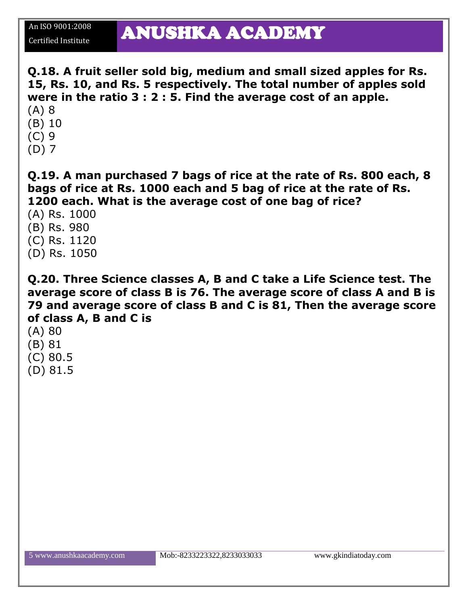**Q.18. A fruit seller sold big, medium and small sized apples for Rs. 15, Rs. 10, and Rs. 5 respectively. The total number of apples sold were in the ratio 3 : 2 : 5. Find the average cost of an apple.** (A) 8

- (B) 10
- 
- (C) 9
- (D) 7

**Q.19. A man purchased 7 bags of rice at the rate of Rs. 800 each, 8 bags of rice at Rs. 1000 each and 5 bag of rice at the rate of Rs. 1200 each. What is the average cost of one bag of rice?**

- (A) Rs. 1000
- (B) Rs. 980
- (C) Rs. 1120
- (D) Rs. 1050

**Q.20. Three Science classes A, B and C take a Life Science test. The average score of class B is 76. The average score of class A and B is 79 and average score of class B and C is 81, Then the average score of class A, B and C is**

- (A) 80
- (B) 81
- (C) 80.5
- (D) 81.5